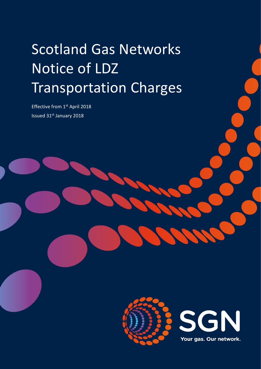# Scotland Gas Networks Notice of LDZ Transportation Charges

Effective from 1st April 2018 Issued 31st January 2018

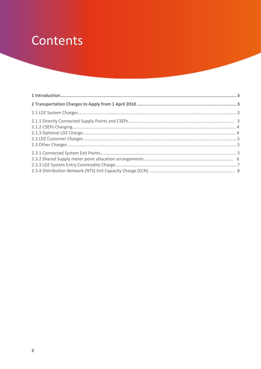## Contents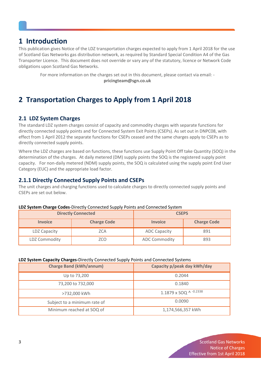### **1 Introduction**

This publication gives Notice of the LDZ transportation charges expected to apply from 1 April 2018 for the use of Scotland Gas Networks gas distribution network, as required by Standard Special Condition A4 of the Gas Transporter Licence. This document does not override or vary any of the statutory, licence or Network Code obligations upon Scotland Gas Networks.

For more information on the charges set out in this document, please contact via email: **pricingteam@sgn.co.uk**

## <span id="page-2-0"></span>**2 Transportation Charges to Apply from 1 April 2018**

#### **2.1 LDZ System Charges**

The standard LDZ system charges consist of capacity and commodity charges with separate functions for directly connected supply points and for Connected System Exit Points (CSEPs). As set out in DNPC08, with effect from 1 April 2012 the separate functions for CSEPs ceased and the same charges apply to CSEPs as to directly connected supply points.

Where the LDZ charges are based on functions, these functions use Supply Point Off take Quantity (SOQ) in the determination of the charges. At daily metered (DM) supply points the SOQ is the registered supply point capacity. For non-daily metered (NDM) supply points, the SOQ is calculated using the supply point End User Category (EUC) and the appropriate load factor.

#### <span id="page-2-1"></span>**2.1.1 Directly Connected Supply Points and CSEPs**

The unit charges and charging functions used to calculate charges to directly connected supply points and CSEPs are set out below.

| LDZ System Charge Codes-Directly Connected Supply Points and Connected System |  |
|-------------------------------------------------------------------------------|--|
|-------------------------------------------------------------------------------|--|

| <b>Directly Connected</b> |                    | <b>CSEPS</b>         |                    |
|---------------------------|--------------------|----------------------|--------------------|
| <b>Invoice</b>            | <b>Charge Code</b> | <b>Invoice</b>       | <b>Charge Code</b> |
| LDZ Capacity              | ZCA                | <b>ADC Capacity</b>  | 891                |
| <b>LDZ Commodity</b>      | ZCO                | <b>ADC Commodity</b> | 893                |

#### **LDZ System Capacity Charges-**Directly Connected Supply Points and Connected Systems

| <b>Charge Band (kWh/annum)</b> | Capacity p/peak day kWh/day |
|--------------------------------|-----------------------------|
| Up to 73,200                   | 0.2044                      |
| 73,200 to 732,000              | 0.1840                      |
| >732,000 kWh                   | 1.1879 x SOQ ^ -0.2338      |
| Subject to a minimum rate of   | 0.0090                      |
| Minimum reached at SOQ of      | 1,174,566,357 kWh           |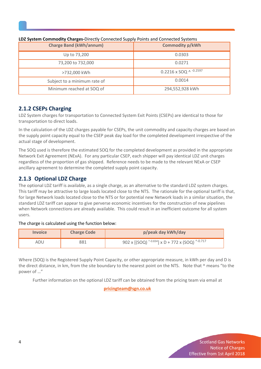| <b>Charge Band (kWh/annum)</b> | <b>Commodity p/kWh</b>   |
|--------------------------------|--------------------------|
| Up to 73,200                   | 0.0303                   |
| 73,200 to 732,000              | 0.0271                   |
| >732,000 kWh                   | 0.2216 x SOQ ^ $-0.2597$ |
| Subject to a minimum rate of   | 0.0014                   |
| Minimum reached at SOQ of      | 294,552,928 kWh          |

#### **LDZ System Commodity Charges-**Directly Connected Supply Points and Connected Systems

#### **2.1.2 CSEPs Charging**

LDZ System charges for transportation to Connected System Exit Points (CSEPs) are identical to those for transportation to direct loads.

In the calculation of the LDZ charges payable for CSEPs, the unit commodity and capacity charges are based on the supply point capacity equal to the CSEP peak day load for the completed development irrespective of the actual stage of development.

The SOQ used is therefore the estimated SOQ for the completed development as provided in the appropriate Network Exit Agreement (NExA). For any particular CSEP, each shipper will pay identical LDZ unit charges regardless of the proportion of gas shipped. Reference needs to be made to the relevant NExA or CSEP ancillary agreement to determine the completed supply point capacity.

#### **2.1.3 Optional LDZ Charge**

The optional LDZ tariff is available, as a single charge, as an alternative to the standard LDZ system charges. This tariff may be attractive to large loads located close to the NTS. The rationale for the optional tariff is that, for large Network loads located close to the NTS or for potential new Network loads in a similar situation, the standard LDZ tariff can appear to give perverse economic incentives for the construction of new pipelines when Network connections are already available. This could result in an inefficient outcome for all system users.

#### The charge is calculated using the function below:

| <b>Invoice</b> | <b>Charge Code</b> | p/peak day kWh/day                                  |
|----------------|--------------------|-----------------------------------------------------|
| ADU            | 381                | 902 x $[(SOQ)$ ^-0.834] x D + 772 x $(SOQ)$ ^-0.717 |

Where (SOQ) is the Registered Supply Point Capacity, or other appropriate measure, in kWh per day and D is the direct distance, in km, from the site boundary to the nearest point on the NTS. Note that ^ means "to the power of …"

Further information on the optional LDZ tariff can be obtained from the pricing team via email at

**[pricingteam@sgn.co.uk](mailto:pricingteam@sgn.co.uk)**

**4** Scotland Gas Networks Notice of Charges ` Effective from 1st April 2018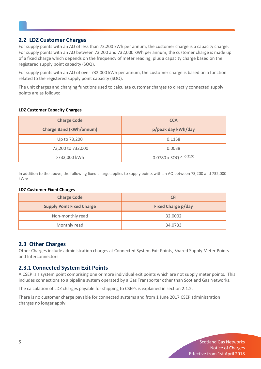#### **2.2 LDZ Customer Charges**

<span id="page-4-0"></span>For supply points with an AQ of less than 73,200 kWh per annum, the customer charge is a capacity charge. For supply points with an AQ between 73,200 and 732,000 kWh per annum, the customer charge is made up of a fixed charge which depends on the frequency of meter reading, plus a capacity charge based on the registered supply point capacity (SOQ).

For supply points with an AQ of over 732,000 kWh per annum, the customer charge is based on a function related to the registered supply point capacity (SOQ).

The unit charges and charging functions used to calculate customer charges to directly connected supply points are as follows:

#### **LDZ Customer Capacity Charges**

| <b>Charge Code</b>             | <b>CCA</b>                      |
|--------------------------------|---------------------------------|
| <b>Charge Band (kWh/annum)</b> | p/peak day kWh/day              |
| Up to 73,200                   | 0.1158                          |
| 73,200 to 732,000              | 0.0038                          |
| >732,000 kWh                   | $0.0780 \times SOQ$ ^ $-0.2100$ |

In addition to the above, the following fixed charge applies to supply points with an AQ between 73,200 and 732,000 kWh:

#### **LDZ Customer Fixed Charges**

| <b>Charge Code</b>               | <b>CFI</b>                |
|----------------------------------|---------------------------|
| <b>Supply Point Fixed Charge</b> | <b>Fixed Charge p/day</b> |
| Non-monthly read                 | 32.0002                   |
| Monthly read                     | 34.0733                   |

#### **2.3 Other Charges**

Other Charges include administration charges at Connected System Exit Points, Shared Supply Meter Points and Interconnectors.

#### **2.3.1 Connected System Exit Points**

A CSEP is a system point comprising one or more individual exit points which are not supply meter points. This includes connections to a pipeline system operated by a Gas Transporter other than Scotland Gas Networks.

The calculation of LDZ charges payable for shipping to CSEPs is explained in section 2.1.2.

There is no customer charge payable for connected systems and from 1 June 2017 CSEP administration charges no longer apply.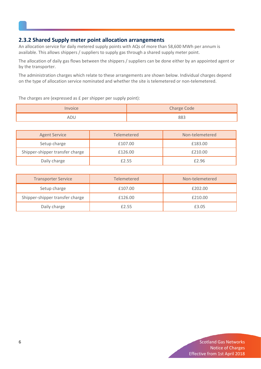#### **2.3.2 Shared Supply meter point allocation arrangements**

An allocation service for daily metered supply points with AQs of more than 58,600 MWh per annum is available. This allows shippers / suppliers to supply gas through a shared supply meter point.

The allocation of daily gas flows between the shippers / suppliers can be done either by an appointed agent or by the transporter.

The administration charges which relate to these arrangements are shown below. Individual charges depend on the type of allocation service nominated and whether the site is telemetered or non-telemetered.

The charges are (expressed as £ per shipper per supply point):

|     | Charge Code |
|-----|-------------|
| ADL | 883         |

| <b>Agent Service</b>            | Telemetered | Non-telemetered |
|---------------------------------|-------------|-----------------|
| Setup charge                    | £107.00     | £183.00         |
| Shipper-shipper transfer charge | £126.00     | £210.00         |
| Daily charge                    | £2.55       | £2.96           |

| <b>Transporter Service</b>      | <b>Telemetered</b> | Non-telemetered |
|---------------------------------|--------------------|-----------------|
| Setup charge                    | £107.00            | £202.00         |
| Shipper-shipper transfer charge | £126.00            | £210.00         |
| Daily charge                    | £2.55              | £3.05           |

**6** Scotland Gas Networks Notice of Charges ` Effective from 1st April 2018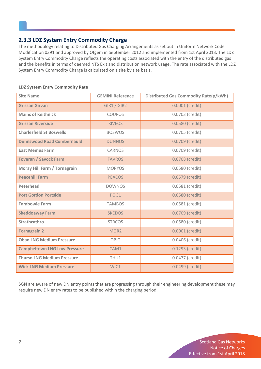#### **2.3.3 LDZ System Entry Commodity Charge**

The methodology relating to Distributed Gas Charging Arrangements as set out in Uniform Network Code Modification 0391 and approved by Ofgem in September 2012 and implemented from 1st April 2013. The LDZ System Entry Commodity Charge reflects the operating costs associated with the entry of the distributed gas and the benefits in terms of deemed NTS Exit and distribution network usage. The rate associated with the LDZ System Entry Commodity Charge is calculated on a site by site basis.

| <b>Site Name</b>                    | <b>GEMINI Reference</b> | <b>Distributed Gas Commodity Rate(p/kWh)</b> |
|-------------------------------------|-------------------------|----------------------------------------------|
| <b>Grissan Girvan</b>               | GIR1 / GIR2             | 0.0001 (credit)                              |
| <b>Mains of Keithnick</b>           | <b>COUPOS</b>           | 0.0703 (credit)                              |
| <b>Grissan Riverside</b>            | <b>RIVEOS</b>           | 0.0580 (credit)                              |
| <b>Charlesfield St Boswells</b>     | <b>BOSWOS</b>           | 0.0705 (credit)                              |
| <b>Dunnswood Road Cumbernauld</b>   | <b>DUNNOS</b>           | 0.0709 (credit)                              |
| <b>East Memus Farm</b>              | CARNOS                  | 0.0709 (credit)                              |
| <b>Foveran / Savock Farm</b>        | <b>FAVROS</b>           | 0.0708 (credit)                              |
| Moray Hill Farm / Tornagrain        | <b>MORYOS</b>           | 0.0580 (credit)                              |
| <b>Peacehill Farm</b>               | <b>PEACOS</b>           | 0.0579 (credit)                              |
| <b>Peterhead</b>                    | <b>DOWNOS</b>           | 0.0581 (credit)                              |
| <b>Port Gordon Portside</b>         | POG1                    | 0.0580 (credit)                              |
| <b>Tambowie Farm</b>                | <b>TAMBOS</b>           | 0.0581 (credit)                              |
| <b>Skeddoaway Farm</b>              | <b>SKEDOS</b>           | 0.0709 (credit)                              |
| Strathcathro                        | <b>STRCOS</b>           | 0.0580 (credit)                              |
| <b>Tornagrain 2</b>                 | MOR <sub>2</sub>        | 0.0001 (credit)                              |
| <b>Oban LNG Medium Pressure</b>     | <b>OBIG</b>             | 0.0406 (credit)                              |
| <b>Campbeltown LNG Low Pressure</b> | CAM1                    | 0.1293 (credit)                              |
| <b>Thurso LNG Medium Pressure</b>   | THU1                    | 0.0477 (credit)                              |
| <b>Wick LNG Medium Pressure</b>     | WIC1                    | 0.0499 (credit)                              |

#### **LDZ System Entry Commodity Rate**

SGN are aware of new DN entry points that are progressing through their engineering development these may require new DN entry rates to be published within the charging period.